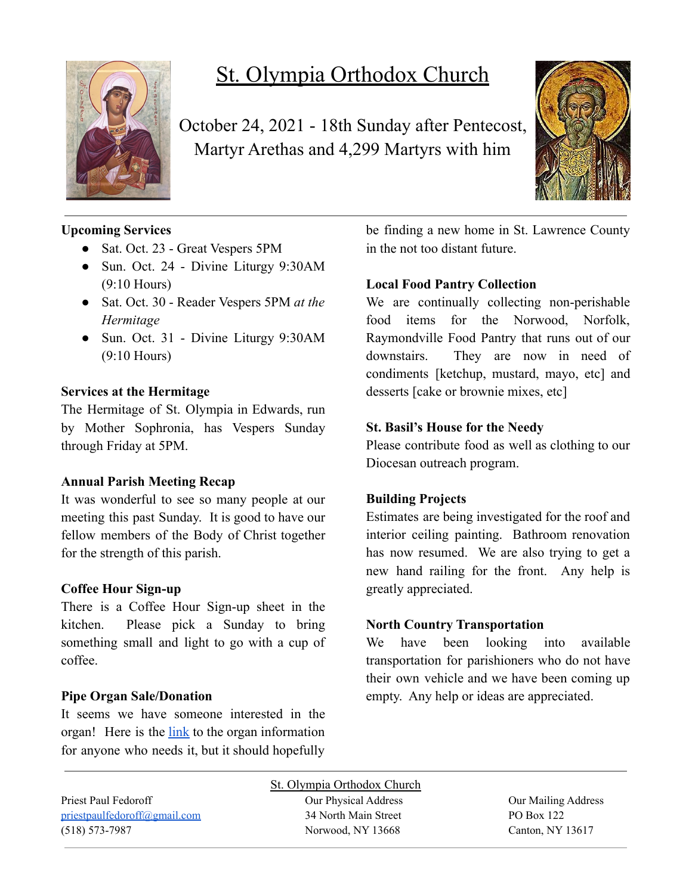

# St. Olympia Orthodox Church

October 24, 2021 - 18th Sunday after Pentecost, Martyr Arethas and 4,299 Martyrs with him



## **Upcoming Services**

- Sat. Oct. 23 Great Vespers 5PM
- Sun. Oct. 24 Divine Liturgy 9:30AM (9:10 Hours)
- Sat. Oct. 30 Reader Vespers 5PM *at the Hermitage*
- Sun. Oct. 31 Divine Liturgy 9:30AM (9:10 Hours)

## **Services at the Hermitage**

The Hermitage of St. Olympia in Edwards, run by Mother Sophronia, has Vespers Sunday through Friday at 5PM.

## **Annual Parish Meeting Recap**

It was wonderful to see so many people at our meeting this past Sunday. It is good to have our fellow members of the Body of Christ together for the strength of this parish.

## **Coffee Hour Sign-up**

There is a Coffee Hour Sign-up sheet in the kitchen. Please pick a Sunday to bring something small and light to go with a cup of coffee.

## **Pipe Organ Sale/Donation**

It seems we have someone interested in the organ! Here is the [link](https://www.carlsonorgans.com/carlson-pipe-organ.html?fbclid=IwAR0AP0R6-ZPq_msuHfolTcWBIFhgxMi9NY6dlXykcgRBM4j3qId0FzVWnes) to the organ information for anyone who needs it, but it should hopefully be finding a new home in St. Lawrence County in the not too distant future.

## **Local Food Pantry Collection**

We are continually collecting non-perishable food items for the Norwood, Norfolk, Raymondville Food Pantry that runs out of our downstairs. They are now in need of condiments [ketchup, mustard, mayo, etc] and desserts [cake or brownie mixes, etc]

## **St. Basil's House for the Needy**

Please contribute food as well as clothing to our Diocesan outreach program.

## **Building Projects**

Estimates are being investigated for the roof and interior ceiling painting. Bathroom renovation has now resumed. We are also trying to get a new hand railing for the front. Any help is greatly appreciated.

## **North Country Transportation**

We have been looking into available transportation for parishioners who do not have their own vehicle and we have been coming up empty. Any help or ideas are appreciated.

| St. Olympia Orthodox Church    |                      |                     |  |  |
|--------------------------------|----------------------|---------------------|--|--|
| Priest Paul Fedoroff           | Our Physical Address | Our Mailing Address |  |  |
| pries t paulfedoroff@gmail.com | 34 North Main Street | PO Box 122          |  |  |
| $(518) 573 - 7987$             | Norwood, NY 13668    | Canton, NY 13617    |  |  |